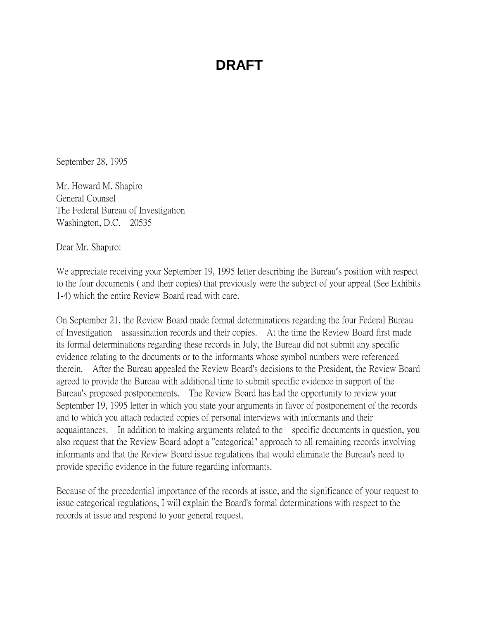September 28, 1995

Mr. Howard M. Shapiro General Counsel The Federal Bureau of Investigation Washington, D.C. 20535

Dear Mr. Shapiro:

We appreciate receiving your September 19, 1995 letter describing the Bureau's position with respect to the four documents ( and their copies) that previously were the subject of your appeal (See Exhibits 1-4) which the entire Review Board read with care.

On September 21, the Review Board made formal determinations regarding the four Federal Bureau of Investigation assassination records and their copies. At the time the Review Board first made its formal determinations regarding these records in July, the Bureau did not submit any specific evidence relating to the documents or to the informants whose symbol numbers were referenced therein. After the Bureau appealed the Review Board's decisions to the President, the Review Board agreed to provide the Bureau with additional time to submit specific evidence in support of the Bureau's proposed postponements. The Review Board has had the opportunity to review your September 19, 1995 letter in which you state your arguments in favor of postponement of the records and to which you attach redacted copies of personal interviews with informants and their acquaintances. In addition to making arguments related to the specific documents in question, you also request that the Review Board adopt a "categorical" approach to all remaining records involving informants and that the Review Board issue regulations that would eliminate the Bureau's need to provide specific evidence in the future regarding informants.

Because of the precedential importance of the records at issue, and the significance of your request to issue categorical regulations, I will explain the Board's formal determinations with respect to the records at issue and respond to your general request.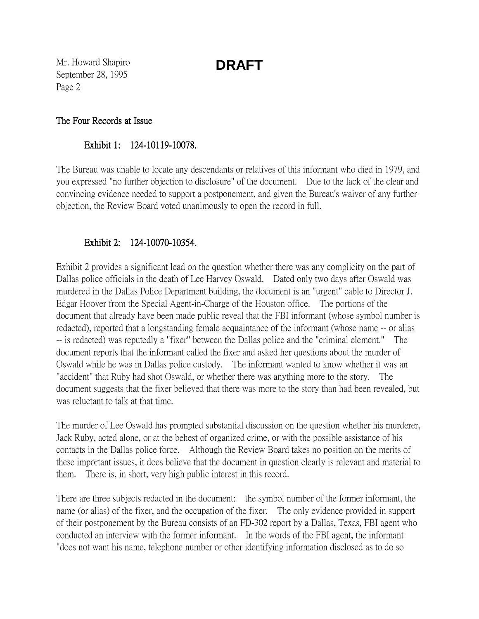Mr. Howard Shapiro September 28, 1995 Page 2

#### The Four Records at Issue

#### Exhibit 1: 124-10119-10078.

The Bureau was unable to locate any descendants or relatives of this informant who died in 1979, and you expressed "no further objection to disclosure" of the document. Due to the lack of the clear and convincing evidence needed to support a postponement, and given the Bureau's waiver of any further objection, the Review Board voted unanimously to open the record in full.

### Exhibit 2: 124-10070-10354.

Exhibit 2 provides a significant lead on the question whether there was any complicity on the part of Dallas police officials in the death of Lee Harvey Oswald. Dated only two days after Oswald was murdered in the Dallas Police Department building, the document is an "urgent" cable to Director J. Edgar Hoover from the Special Agent-in-Charge of the Houston office. The portions of the document that already have been made public reveal that the FBI informant (whose symbol number is redacted), reported that a longstanding female acquaintance of the informant (whose name -- or alias -- is redacted) was reputedly a "fixer" between the Dallas police and the "criminal element." The document reports that the informant called the fixer and asked her questions about the murder of Oswald while he was in Dallas police custody. The informant wanted to know whether it was an "accident" that Ruby had shot Oswald, or whether there was anything more to the story. The document suggests that the fixer believed that there was more to the story than had been revealed, but was reluctant to talk at that time.

The murder of Lee Oswald has prompted substantial discussion on the question whether his murderer, Jack Ruby, acted alone, or at the behest of organized crime, or with the possible assistance of his contacts in the Dallas police force. Although the Review Board takes no position on the merits of these important issues, it does believe that the document in question clearly is relevant and material to them. There is, in short, very high public interest in this record.

There are three subjects redacted in the document: the symbol number of the former informant, the name (or alias) of the fixer, and the occupation of the fixer. The only evidence provided in support of their postponement by the Bureau consists of an FD-302 report by a Dallas, Texas, FBI agent who conducted an interview with the former informant. In the words of the FBI agent, the informant "does not want his name, telephone number or other identifying information disclosed as to do so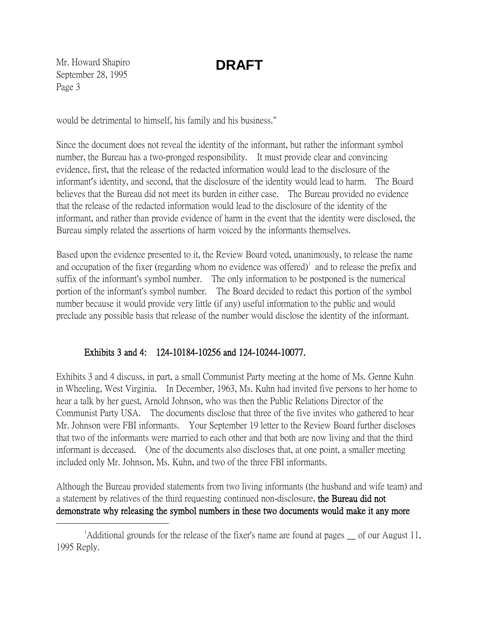Mr. Howard Shapiro September 28, 1995 Page 3

would be detrimental to himself, his family and his business."

Since the document does not reveal the identity of the informant, but rather the informant symbol number, the Bureau has a two-pronged responsibility. It must provide clear and convincing evidence, first, that the release of the redacted information would lead to the disclosure of the informant's identity, and second, that the disclosure of the identity would lead to harm. The Board believes that the Bureau did not meet its burden in either case. The Bureau provided no evidence that the release of the redacted information would lead to the disclosure of the identity of the informant, and rather than provide evidence of harm in the event that the identity were disclosed, the Bureau simply related the assertions of harm voiced by the informants themselves.

Based upon the evidence presented to it, the Review Board voted, unanimously, to release the name and occupation of the fixer (regarding whom no evidence was offered) $\textsuperscript{1}$  $\textsuperscript{1}$  $\textsuperscript{1}$  and to release the prefix and suffix of the informant's symbol number. The only information to be postponed is the numerical portion of the informant's symbol number. The Board decided to redact this portion of the symbol number because it would provide very little (if any) useful information to the public and would preclude any possible basis that release of the number would disclose the identity of the informant.

### Exhibits 3 and 4: 124-10184-10256 and 124-10244-10077.

Exhibits 3 and 4 discuss, in part, a small Communist Party meeting at the home of Ms. Genne Kuhn in Wheeling, West Virginia. In December, 1963, Ms. Kuhn had invited five persons to her home to hear a talk by her guest, Arnold Johnson, who was then the Public Relations Director of the Communist Party USA. The documents disclose that three of the five invites who gathered to hear Mr. Johnson were FBI informants. Your September 19 letter to the Review Board further discloses that two of the informants were married to each other and that both are now living and that the third informant is deceased. One of the documents also discloses that, at one point, a smaller meeting included only Mr. Johnson, Ms. Kuhn, and two of the three FBI informants.

Although the Bureau provided statements from two living informants (the husband and wife team) and a statement by relatives of the third requesting continued non-disclosure, the Bureau did not demonstrate why releasing the symbol numbers in these two documents would make it any more

<span id="page-2-0"></span> $\overline{\phantom{a}}$  $^1$ Additional grounds for the release of the fixer's name are found at pages  $\equiv$  of our August 11, 1995 Reply.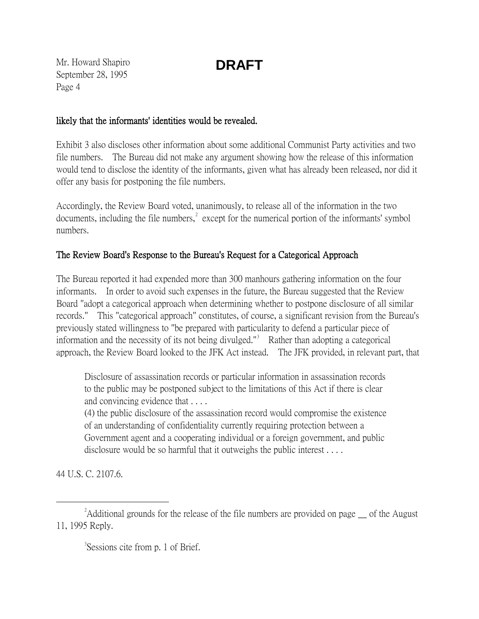Mr. Howard Shapiro September 28, 1995 Page 4

#### likely that the informants' identities would be revealed.

Exhibit 3 also discloses other information about some additional Communist Party activities and two file numbers. The Bureau did not make any argument showing how the release of this information would tend to disclose the identity of the informants, given what has already been released, nor did it offer any basis for postponing the file numbers.

Accordingly, the Review Board voted, unanimously, to release all of the information in the two documents, including the file numbers,  $\epsilon^2$  $\epsilon^2$  except for the numerical portion of the informants' symbol numbers.

### The Review Board's Response to the Bureau's Request for a Categorical Approach

The Bureau reported it had expended more than 300 manhours gathering information on the four informants. In order to avoid such expenses in the future, the Bureau suggested that the Review Board "adopt a categorical approach when determining whether to postpone disclosure of all similar records." This "categorical approach" constitutes, of course, a significant revision from the Bureau's previously stated willingness to "be prepared with particularity to defend a particular piece of information and the necessity of its not being divulged."<sup>[3](#page-3-1)</sup> Rather than adopting a categorical approach, the Review Board looked to the JFK Act instead. The JFK provided, in relevant part, that

Disclosure of assassination records or particular information in assassination records to the public may be postponed subject to the limitations of this Act if there is clear and convincing evidence that . . . .

(4) the public disclosure of the assassination record would compromise the existence of an understanding of confidentiality currently requiring protection between a Government agent and a cooperating individual or a foreign government, and public disclosure would be so harmful that it outweighs the public interest . . . .

44 U.S. C. 2107.6.

<sup>3</sup>Sessions cite from p. 1 of Brief.

<span id="page-3-1"></span><span id="page-3-0"></span> $\overline{\phantom{a}}$  2  $A$ dditional grounds for the release of the file numbers are provided on page of the August 11, 1995 Reply.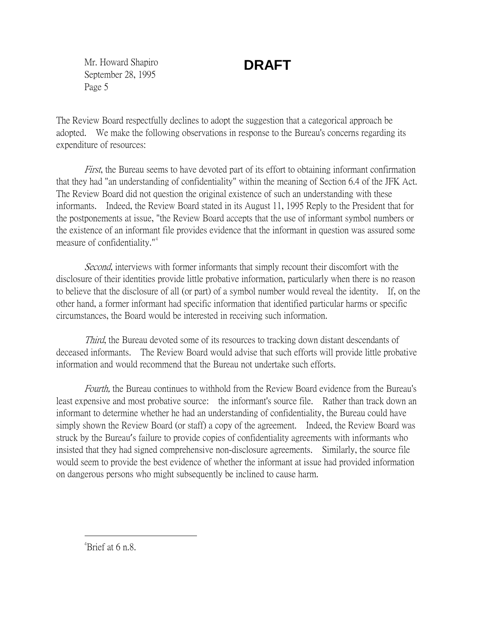Mr. Howard Shapiro September 28, 1995 Page 5

# **DRAFT**

The Review Board respectfully declines to adopt the suggestion that a categorical approach be adopted. We make the following observations in response to the Bureau's concerns regarding its expenditure of resources:

First, the Bureau seems to have devoted part of its effort to obtaining informant confirmation that they had "an understanding of confidentiality" within the meaning of Section 6.4 of the JFK Act. The Review Board did not question the original existence of such an understanding with these informants. Indeed, the Review Board stated in its August 11, 1995 Reply to the President that for the postponements at issue, "the Review Board accepts that the use of informant symbol numbers or the existence of an informant file provides evidence that the informant in question was assured some measure of confidentiality."<sup>[4](#page-4-0)</sup>

Second, interviews with former informants that simply recount their discomfort with the disclosure of their identities provide little probative information, particularly when there is no reason to believe that the disclosure of all (or part) of a symbol number would reveal the identity. If, on the other hand, a former informant had specific information that identified particular harms or specific circumstances, the Board would be interested in receiving such information.

Third, the Bureau devoted some of its resources to tracking down distant descendants of deceased informants. The Review Board would advise that such efforts will provide little probative information and would recommend that the Bureau not undertake such efforts.

Fourth, the Bureau continues to withhold from the Review Board evidence from the Bureau's least expensive and most probative source: the informant's source file. Rather than track down an informant to determine whether he had an understanding of confidentiality, the Bureau could have simply shown the Review Board (or staff) a copy of the agreement. Indeed, the Review Board was struck by the Bureau's failure to provide copies of confidentiality agreements with informants who insisted that they had signed comprehensive non-disclosure agreements. Similarly, the source file would seem to provide the best evidence of whether the informant at issue had provided information on dangerous persons who might subsequently be inclined to cause harm.

<span id="page-4-0"></span> $\frac{1}{4}$  $A^4$ Brief at 6 n.8.